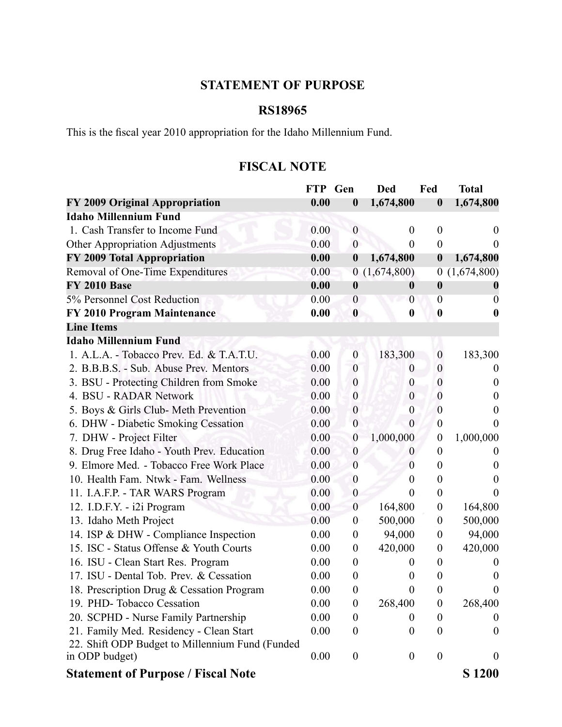## **STATEMENT OF PURPOSE**

## **RS18965**

This is the fiscal year 2010 appropriation for the Idaho Millennium Fund.

## **FISCAL NOTE**

|                                                 | <b>FTP</b> | Gen              | <b>Ded</b>       | Fed              | <b>Total</b>     |
|-------------------------------------------------|------------|------------------|------------------|------------------|------------------|
| FY 2009 Original Appropriation                  | 0.00       | $\boldsymbol{0}$ | 1,674,800        | $\boldsymbol{0}$ | 1,674,800        |
| <b>Idaho Millennium Fund</b>                    |            |                  |                  |                  |                  |
| 1. Cash Transfer to Income Fund                 | 0.00       | $\boldsymbol{0}$ | $\boldsymbol{0}$ | $\boldsymbol{0}$ | $\theta$         |
| <b>Other Appropriation Adjustments</b>          | 0.00       | $\boldsymbol{0}$ | $\theta$         | $\boldsymbol{0}$ | $\theta$         |
| FY 2009 Total Appropriation                     | 0.00       | $\boldsymbol{0}$ | 1,674,800        | $\boldsymbol{0}$ | 1,674,800        |
| Removal of One-Time Expenditures                | 0.00       |                  | 0(1,674,800)     | $\boldsymbol{0}$ | (1,674,800)      |
| <b>FY 2010 Base</b>                             | 0.00       | $\boldsymbol{0}$ | $\boldsymbol{0}$ | $\boldsymbol{0}$ |                  |
| 5% Personnel Cost Reduction                     | 0.00       | $\boldsymbol{0}$ | $\overline{0}$   | $\overline{0}$   | $\theta$         |
| FY 2010 Program Maintenance                     | 0.00       | $\boldsymbol{0}$ | $\boldsymbol{0}$ | $\boldsymbol{0}$ | 0                |
| <b>Line Items</b>                               |            |                  |                  |                  |                  |
| <b>Idaho Millennium Fund</b>                    |            |                  |                  |                  |                  |
| 1. A.L.A. - Tobacco Prev. Ed. & T.A.T.U.        | 0.00       | $\mathbf{0}$     | 183,300          | $\boldsymbol{0}$ | 183,300          |
| 2. B.B.B.S. - Sub. Abuse Prev. Mentors          | 0.00       | $\boldsymbol{0}$ | $\theta$         | $\boldsymbol{0}$ | $\bf{0}$         |
| 3. BSU - Protecting Children from Smoke         | 0.00       | $\boldsymbol{0}$ | $\boldsymbol{0}$ | $\boldsymbol{0}$ | $\boldsymbol{0}$ |
| 4. BSU - RADAR Network                          | 0.00       | $\boldsymbol{0}$ | $\boldsymbol{0}$ | $\boldsymbol{0}$ | $\boldsymbol{0}$ |
| 5. Boys & Girls Club- Meth Prevention           | 0.00       | $\boldsymbol{0}$ | $\boldsymbol{0}$ | $\boldsymbol{0}$ | $\theta$         |
| 6. DHW - Diabetic Smoking Cessation             | 0.00       | $\boldsymbol{0}$ | $\theta$         | $\boldsymbol{0}$ | $\theta$         |
| 7. DHW - Project Filter                         | 0.00       | $\boldsymbol{0}$ | 1,000,000        | $\boldsymbol{0}$ | 1,000,000        |
| 8. Drug Free Idaho - Youth Prev. Education      | 0.00       | $\boldsymbol{0}$ | O                | $\boldsymbol{0}$ | $\theta$         |
| 9. Elmore Med. - Tobacco Free Work Place        | 0.00       | $\boldsymbol{0}$ | $\theta$         | $\boldsymbol{0}$ | $\theta$         |
| 10. Health Fam. Ntwk - Fam. Wellness            | 0.00       | $\boldsymbol{0}$ | 0                | $\boldsymbol{0}$ | $\theta$         |
| 11. I.A.F.P. - TAR WARS Program                 | 0.00       | $\boldsymbol{0}$ | $\overline{0}$   | $\boldsymbol{0}$ | $\theta$         |
| 12. I.D.F.Y. - i2i Program                      | 0.00       | $\boldsymbol{0}$ | 164,800          | $\boldsymbol{0}$ | 164,800          |
| 13. Idaho Meth Project                          | 0.00       | $\boldsymbol{0}$ | 500,000          | $\boldsymbol{0}$ | 500,000          |
| 14. ISP & DHW - Compliance Inspection           | 0.00       | $\boldsymbol{0}$ | 94,000           | $\boldsymbol{0}$ | 94,000           |
| 15. ISC - Status Offense & Youth Courts         | 0.00       | $\boldsymbol{0}$ | 420,000          | $\boldsymbol{0}$ | 420,000          |
| 16. ISU - Clean Start Res. Program              | 0.00       | $\boldsymbol{0}$ | $\theta$         | $\boldsymbol{0}$ | $\theta$         |
| 17. ISU - Dental Tob. Prev. & Cessation         | 0.00       | $\boldsymbol{0}$ | $\theta$         | $\boldsymbol{0}$ | $\theta$         |
| 18. Prescription Drug & Cessation Program       | 0.00       | $\boldsymbol{0}$ | $\boldsymbol{0}$ | $\boldsymbol{0}$ | $\boldsymbol{0}$ |
| 19. PHD-Tobacco Cessation                       | 0.00       | $\boldsymbol{0}$ | 268,400          | $\boldsymbol{0}$ | 268,400          |
| 20. SCPHD - Nurse Family Partnership            | 0.00       | $\boldsymbol{0}$ | 0                | $\boldsymbol{0}$ | $\theta$         |
| 21. Family Med. Residency - Clean Start         | 0.00       | $\theta$         | $\boldsymbol{0}$ | $\boldsymbol{0}$ | $\boldsymbol{0}$ |
| 22. Shift ODP Budget to Millennium Fund (Funded |            |                  |                  |                  |                  |
| in ODP budget)                                  | 0.00       | $\boldsymbol{0}$ | $\boldsymbol{0}$ | $\boldsymbol{0}$ | $\overline{0}$   |
| <b>Statement of Purpose / Fiscal Note</b>       |            |                  |                  |                  | <b>S</b> 1200    |